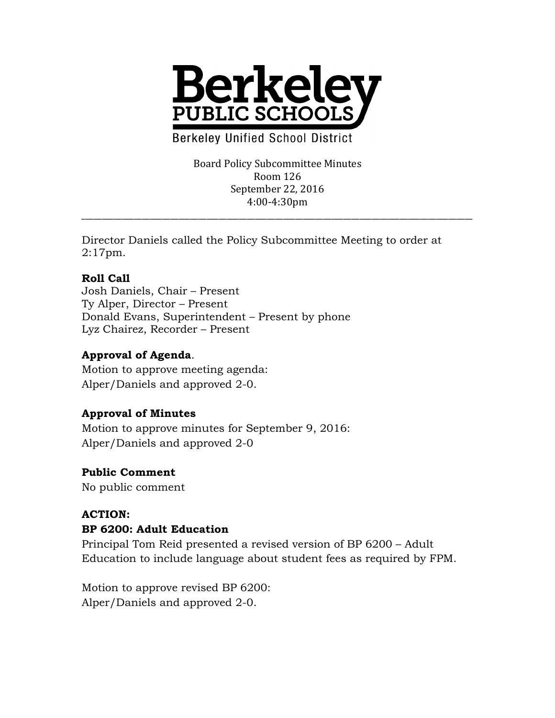

**Berkeley Unified School District** 

Board Policy Subcommittee Minutes Room 126 September 22, 2016 4:00-4:30pm

\_\_\_\_\_\_\_\_\_\_\_\_\_\_\_\_\_\_\_\_\_\_\_\_\_\_\_\_\_\_\_\_\_\_\_\_\_\_\_\_\_\_\_\_\_\_\_\_\_\_\_\_\_\_\_\_\_\_\_\_\_\_\_\_\_\_\_\_\_\_\_\_\_\_\_\_\_\_\_\_\_\_\_\_\_\_\_\_\_\_\_\_\_\_\_\_\_

Director Daniels called the Policy Subcommittee Meeting to order at 2:17pm.

### **Roll Call**

Josh Daniels, Chair – Present Ty Alper, Director – Present Donald Evans, Superintendent – Present by phone Lyz Chairez, Recorder – Present

### **Approval of Agenda**.

Motion to approve meeting agenda: Alper/Daniels and approved 2-0.

# **Approval of Minutes**

Motion to approve minutes for September 9, 2016: Alper/Daniels and approved 2-0

#### **Public Comment**

No public comment

# **ACTION:**

# **BP 6200: Adult Education**

Principal Tom Reid presented a revised version of BP 6200 – Adult Education to include language about student fees as required by FPM.

Motion to approve revised BP 6200: Alper/Daniels and approved 2-0.